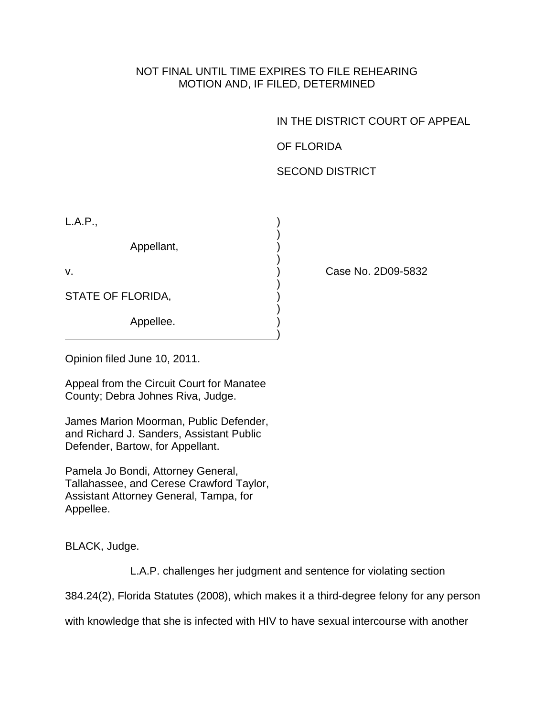## NOT FINAL UNTIL TIME EXPIRES TO FILE REHEARING MOTION AND, IF FILED, DETERMINED

IN THE DISTRICT COURT OF APPEAL

OF FLORIDA

SECOND DISTRICT

 $L.A.P.,$ 

 $)$ Appellant, )

 $)$ 

)

 $)$ STATE OF FLORIDA,

 $)$ Appellee.

v. ) Case No. 2D09-5832

Opinion filed June 10, 2011.

Appeal from the Circuit Court for Manatee County; Debra Johnes Riva, Judge.

James Marion Moorman, Public Defender, and Richard J. Sanders, Assistant Public Defender, Bartow, for Appellant.

Pamela Jo Bondi, Attorney General, Tallahassee, and Cerese Crawford Taylor, Assistant Attorney General, Tampa, for Appellee.

BLACK, Judge.

L.A.P. challenges her judgment and sentence for violating section

384.24(2), Florida Statutes (2008), which makes it a third-degree felony for any person

with knowledge that she is infected with HIV to have sexual intercourse with another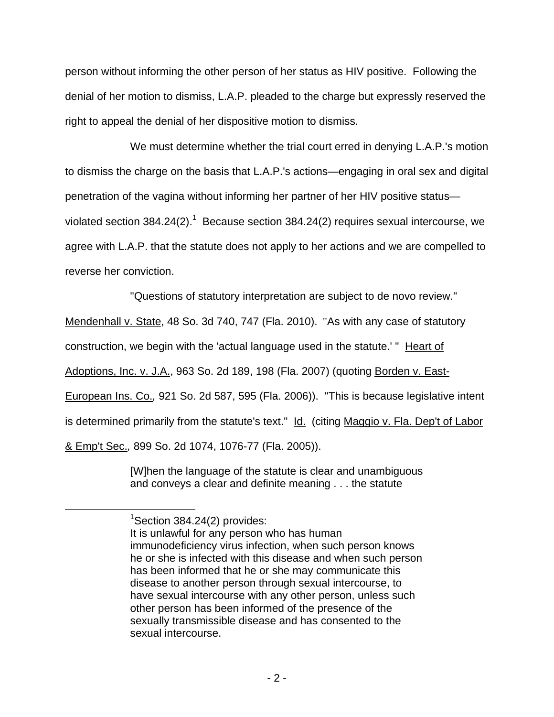person without informing the other person of her status as HIV positive. Following the denial of her motion to dismiss, L.A.P. pleaded to the charge but expressly reserved the right to appeal the denial of her dispositive motion to dismiss.

 We must determine whether the trial court erred in denying L.A.P.'s motion to dismiss the charge on the basis that L.A.P.'s actions—engaging in oral sex and digital penetration of the vagina without informing her partner of her HIV positive status violated section 384.24(2).<sup>1</sup> Because section 384.24(2) requires sexual intercourse, we agree with L.A.P. that the statute does not apply to her actions and we are compelled to reverse her conviction.

"Questions of statutory interpretation are subject to de novo review."

Mendenhall v. State, 48 So. 3d 740, 747 (Fla. 2010). "As with any case of statutory

construction, we begin with the 'actual language used in the statute.' " Heart of

Adoptions, Inc. v. J.A., 963 So. 2d 189, 198 (Fla. 2007) (quoting Borden v. East-

European Ins. Co.*,* 921 So. 2d 587, 595 (Fla. 2006)). "This is because legislative intent

is determined primarily from the statute's text." Id. (citing Maggio v. Fla. Dep't of Labor

& Emp't Sec.*,* 899 So. 2d 1074, 1076-77 (Fla. 2005)).

[W]hen the language of the statute is clear and unambiguous and conveys a clear and definite meaning . . . the statute

 <sup>1</sup>  ${}^{1}$ Section 384.24(2) provides:

It is unlawful for any person who has human immunodeficiency virus infection, when such person knows he or she is infected with this disease and when such person has been informed that he or she may communicate this disease to another person through sexual intercourse, to have sexual intercourse with any other person, unless such other person has been informed of the presence of the sexually transmissible disease and has consented to the sexual intercourse.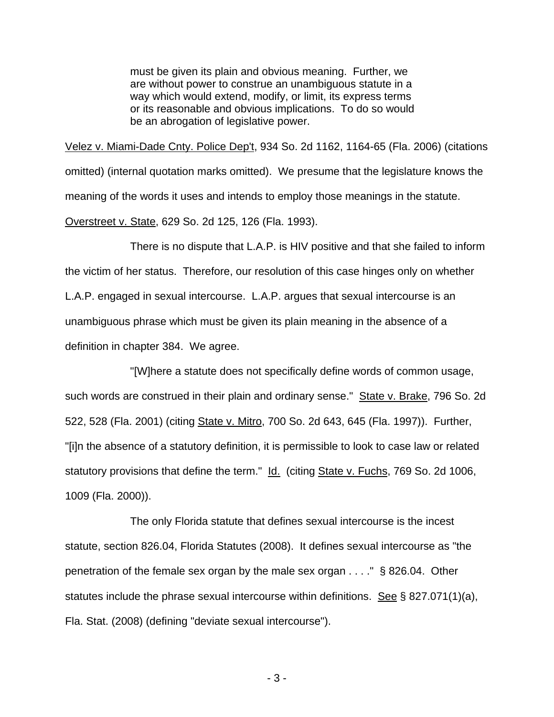must be given its plain and obvious meaning. Further, we are without power to construe an unambiguous statute in a way which would extend, modify, or limit, its express terms or its reasonable and obvious implications. To do so would be an abrogation of legislative power.

Velez v. Miami-Dade Cnty. Police Dep't, 934 So. 2d 1162, 1164-65 (Fla. 2006) (citations omitted) (internal quotation marks omitted). We presume that the legislature knows the meaning of the words it uses and intends to employ those meanings in the statute. Overstreet v. State, 629 So. 2d 125, 126 (Fla. 1993).

 There is no dispute that L.A.P. is HIV positive and that she failed to inform the victim of her status. Therefore, our resolution of this case hinges only on whether L.A.P. engaged in sexual intercourse. L.A.P. argues that sexual intercourse is an unambiguous phrase which must be given its plain meaning in the absence of a definition in chapter 384. We agree.

 "[W]here a statute does not specifically define words of common usage, such words are construed in their plain and ordinary sense." State v. Brake, 796 So. 2d 522, 528 (Fla. 2001) (citing State v. Mitro, 700 So. 2d 643, 645 (Fla. 1997)). Further, "[i]n the absence of a statutory definition, it is permissible to look to case law or related statutory provisions that define the term." Id. (citing State v. Fuchs, 769 So. 2d 1006, 1009 (Fla. 2000)).

 The only Florida statute that defines sexual intercourse is the incest statute, section 826.04, Florida Statutes (2008). It defines sexual intercourse as "the penetration of the female sex organ by the male sex organ . . . ." § 826.04. Other statutes include the phrase sexual intercourse within definitions. See  $\S$  827.071(1)(a), Fla. Stat. (2008) (defining "deviate sexual intercourse").

- 3 -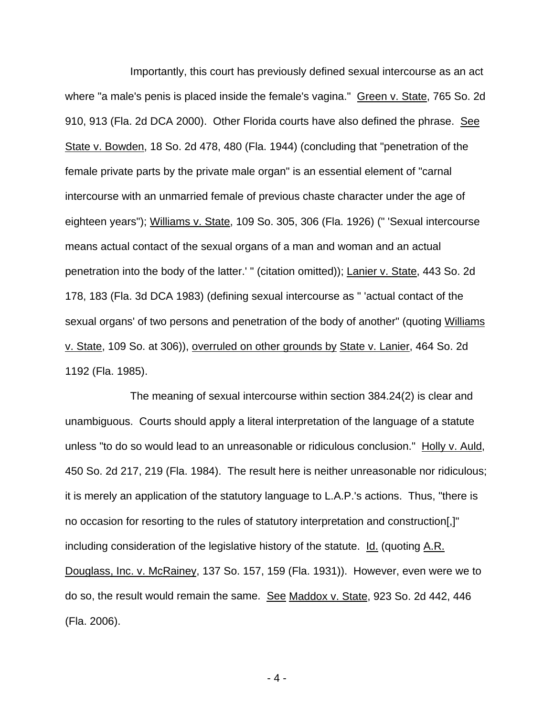Importantly, this court has previously defined sexual intercourse as an act where "a male's penis is placed inside the female's vagina." Green v. State, 765 So. 2d 910, 913 (Fla. 2d DCA 2000). Other Florida courts have also defined the phrase. See State v. Bowden, 18 So. 2d 478, 480 (Fla. 1944) (concluding that "penetration of the female private parts by the private male organ" is an essential element of "carnal intercourse with an unmarried female of previous chaste character under the age of eighteen years"); Williams v. State, 109 So. 305, 306 (Fla. 1926) (" 'Sexual intercourse means actual contact of the sexual organs of a man and woman and an actual penetration into the body of the latter.' " (citation omitted)); Lanier v. State, 443 So. 2d 178, 183 (Fla. 3d DCA 1983) (defining sexual intercourse as " 'actual contact of the sexual organs' of two persons and penetration of the body of another" (quoting Williams v. State, 109 So. at 306)), overruled on other grounds by State v. Lanier, 464 So. 2d 1192 (Fla. 1985).

 The meaning of sexual intercourse within section 384.24(2) is clear and unambiguous. Courts should apply a literal interpretation of the language of a statute unless "to do so would lead to an unreasonable or ridiculous conclusion." Holly v. Auld, 450 So. 2d 217, 219 (Fla. 1984). The result here is neither unreasonable nor ridiculous; it is merely an application of the statutory language to L.A.P.'s actions. Thus, "there is no occasion for resorting to the rules of statutory interpretation and construction[,]" including consideration of the legislative history of the statute.  $Id.$  (quoting A.R. Douglass, Inc. v. McRainey, 137 So. 157, 159 (Fla. 1931)). However, even were we to do so, the result would remain the same. See Maddox v. State, 923 So. 2d 442, 446 (Fla. 2006).

- 4 -